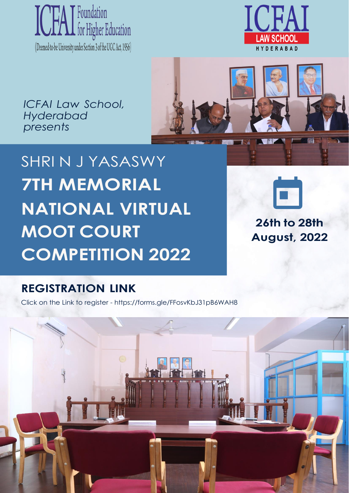



*ICFAI Law School, Hyderabad presents*



SHRI N J YASASWY **7TH MEMORIAL NATIONAL VIRTUAL MOOT COURT COMPETITION 2022**



**26th to 28th August, 2022**

### **REGISTRATION LINK**

Click on the Link to register - https://forms.gle/FFosvKbJ31pB6WAH8

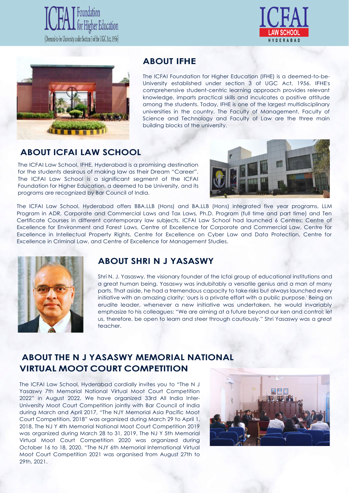





### **ABOUT IFHE**

The ICFAI Foundation for Higher Education (IFHE) is a deemed-to-be-University established under section 3 of UGC Act, 1956. IFHE's comprehensive student-centric learning approach provides relevant knowledge, imparts practical skills and inculcates a positive attitude among the students. Today, IFHE is one of the largest multidisciplinary universities in the country. The Faculty of Management, Faculty of Science and Technology and Faculty of Law are the three main building blocks of the university.

### **ABOUT ICFAI LAW SCHOOL**

The ICFAI Law School, IFHE, Hyderabad is a promising destination for the students desirous of making law as their Dream "Career". The ICFAI Law School is a significant segment of the ICFAI Foundation for Higher Education, a deemed to be University, and its programs are recognized by Bar Council of India.



The ICFAI Law School, Hyderabad offers BBA.LLB (Hons) and BA.LLB (Hons) integrated five year programs, LLM Program in ADR, Corporate and Commercial Laws and Tax Laws, Ph.D. Program (full time and part time) and Ten Certificate Courses in different contemporary law subjects. ICFAI Law School had launched 6 Centres: Centre of Excellence for Environment and Forest Laws, Centre of Excellence for Corporate and Commercial Law, Centre for Excellence in Intellectual Property Rights, Centre for Excellence on Cyber Law and Data Protection, Centre for Excellence in Criminal Law, and Centre of Excellence for Management Studies.



### **ABOUT SHRI N J YASASWY**

Shri N. J. Yasaswy, the visionary founder of the Icfai group of educational institutions and a great human being. Yasaswy was indubitably a versatile genius and a man of many parts. That aside, he had a tremendous capacity to take risks but always launched every initiative with an amazing clarity: 'ours is a private effort with a public purpose.' Being an erudite leader, whenever a new initiative was undertaken, he would invariably emphasize to his colleagues: "We are aiming at a future beyond our ken and control; let us, therefore, be open to learn and steer through cautiously." Shri Yasaswy was a great teacher.

### **ABOUT THE N J YASASWY MEMORIAL NATIONAL VIRTUAL MOOT COURT COMPETITION**

The ICFAI Law School, Hyderabad cordially invites you to "The N J Yasaswy 7th Memorial National Virtual Moot Court Competition 2022" in August 2022. We have organized 33rd All India Inter-University Moot Court Competition jointly with Bar Council of India during March and April 2017, "The NJY Memorial Asia Pacific Moot Court Competition, 2018" was organized during March 29 to April 1, 2018, The NJ Y 4th Memorial National Moot Court Competition 2019 was organized during March 28 to 31, 2019, The NJ Y 5th Memorial Virtual Moot Court Competition 2020 was organized during October 16 to 18, 2020. "The NJY 6th Memorial International Virtual Moot Court Competition 2021 was organised from August 27th to 29th, 2021.

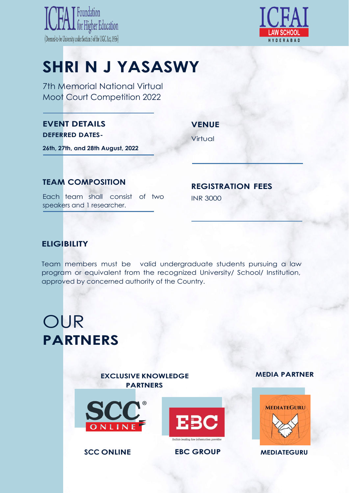



# **SHRI N J YASASWY**

7th Memorial National Virtual Moot Court Competition 2022

### **EVENT DETAILS DEFERRED DATES-**

**VENUE**

Virtual

**26th, 27th, and 28th August, 2022**

### **TEAM COMPOSITION REGISTRATION FEES**

Each team shall consist of two INR 3000 speakers and 1 researcher.

### **ELIGIBILITY**

Team members must be valid undergraduate students pursuing a law program or equivalent from the recognized University/ School/ Institution, approved by concerned authority of the Country.

# OUR **PARTNERS**

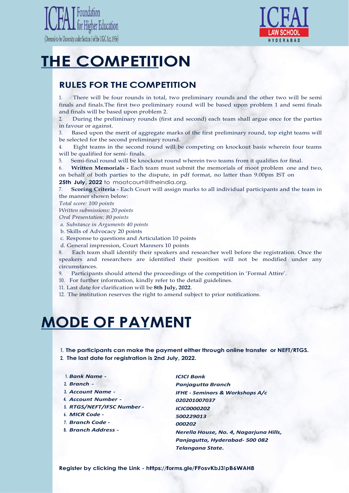



# **THE COMPETITION**

### **RULES FOR THE COMPETITION**

1. There will be four rounds in total, two preliminary rounds and the other two will be semi finals and finals.The first two preliminary round will be based upon problem 1 and semi finals and finals will be based upon problem 2.

2. During the preliminary rounds (first and second) each team shall argue once for the parties in favour or against.

3. Based upon the merit of aggregate marks of the first preliminary round, top eight teams will be selected for the second preliminary round.

4. Eight teams in the second round will be competing on knockout basis wherein four teams will be qualified for semi- finals.

5. Semi-final round will be knockout round wherein two teams from it qualifies for final.

6. **Written Memorials -** Each team must submit the memorials of moot problem one and two, on behalf of both parties to the dispute, in pdf format, no latter than 9.00pm IST on **25th July, 2022** to [mootcourt@ifheindia.org.](mailto:mootcourt@ifheindia.org)

7. **Scoring Criteria** - Each Court will assign marks to all individual participants and the team in the manner shown below:

*Total score: 100 points*

*Written submissions: 20 points* 

*Oral Presentation: 80 points*

*a. Substance in Arguments 40 points*

b. Skills of Advocacy 20 points

c. Response to questions and Articulation 10 points

d. General impression, Court Manners 10 points

Each team shall identify their speakers and researcher well before the registration. Once the speakers and researchers are identified their position will not be modified under any circumstances.

9. Participants should attend the proceedings of the competition in 'Formal Attire'.

10. For further information, kindly refer to the detail guidelines.

11. Last date for clarification will be **8th July, 2022**.

12. The institution reserves the right to amend subject to prior notifications.

### **MODE OF PAYMENT**

**1. The participants can make the payment either through online transfer or NEFT/RTGS. 2. The last date for registration is 2nd July, 2022.**

#### **1.** *Bank Name -*

**2.** *Branch -*

**3.** *Account Name -*

- **4.** *Account Number -*
- **5.** *RTGS/NEFT/IFSC Number -*
- **6.** *MICR Code -*
- **7.** *Branch Code -*
- **8.** *Branch Address -*

*ICICI Bank Panjagutta Branch IFHE - Seminars & Workshops A/c 020201007037 ICIC0000202 500229013 000202 Nerella House, No. 4, Nagarjuna Hills, Panjagutta, Hyderabad- 500 082 Telangana State.*

**Register by clicking the Link - https://forms.gle/FFosvKbJ31pB6WAH8**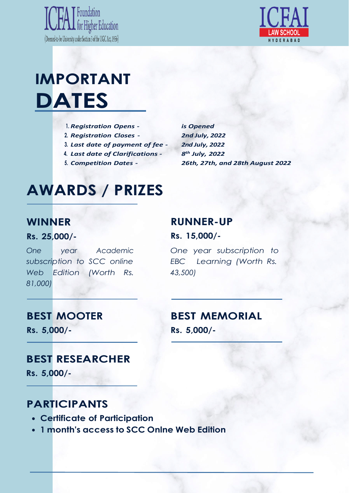



# **IMPORTANT DATES**

- **1.** *Registration Opens -*
- **2.** *Registration Closes -*
- **3.** *Last date of payment of fee -*
- **4.** *Last date of Clarifications -*
- **5.** *Competition Dates -*

*is Opened 2nd July, 2022 2nd July, 2022 8 th July, 2022 26th, 27th, and 28th August 2022*

## **AWARDS / PRIZES**

### **WINNER**

### **Rs. 25,000/-**

*One year Academic One year subscription to subscription to SCC online EBC Learning (Worth Rs.* Web **Edition** *81,000) Edition (Worth Rs. 43,500)*

### **RUNNER-UP**

**Rs. 15,000/-**

### **BEST MOOTER**

**Rs. 5,000/-**

### **BEST MEMORIAL**

**Rs. 5,000/-**

### **BEST RESEARCHER**

**Rs. 5,000/-**

### **PARTICIPANTS**

- **Certificate of Participation**
- **1 month's access to SCC Onlne Web Edition**